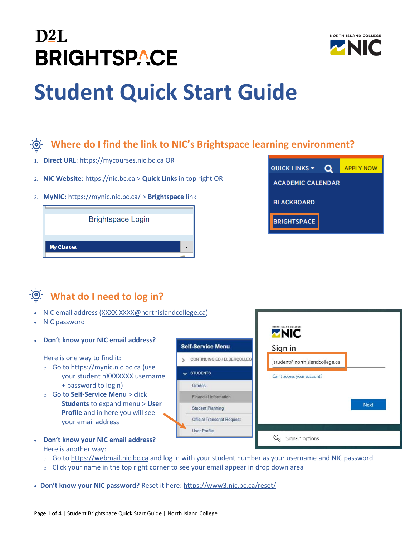



# **Student Quick Start Guide**

#### **Where do I find the link to NIC's Brightspace learning environment?**

- 1. **Direct URL**[: https://mycourses.nic.bc.ca](https://mycourses.nic.bc.ca/) OR
- 2. **NIC Website**[: https://nic.bc.ca](https://nic.bc.ca/) > **Quick Links** in top right OR
- 3. **MyNIC:** <https://mynic.nic.bc.ca/> > **Brightspace** link





## **What do I need to log in?**

- NIC email address [\(XXXX.XXXX@northislandcollege.ca\)](mailto:XXXX.XXXX@northislandcollege.ca)
- NIC password
- **Don't know your NIC email address?**

Here is one way to find it:

- o Go t[o https://mynic.nic.bc.ca](https://mynic.nic.bc.ca/) (use your student nXXXXXXX username + password to login)
- o Go to **Self-Service Menu** > click **Students** to expand menu > **User Profile** and in here you will see your email address
- $\nabla$ NIC **Self-Service Menu** Sign in S CONTINUING ED / ELDERCOLLEG jstudent@northislandcollege.ca  $\vee$  STUDENTS Can't access your account? Grades **Financial Information Next Student Planning** Official Transcript Request **User Profile** Sign-in options
- **Don't know your NIC email address?** Here is another way:
	- o Go t[o https://webmail.nic.bc.ca](https://webmail.nic.bc.ca/) and log in with your student number as your username and NIC password
	- $\circ$  Click your name in the top right corner to see your email appear in drop down area

• **Don't know your NIC password?** Reset it here: <https://www3.nic.bc.ca/reset/>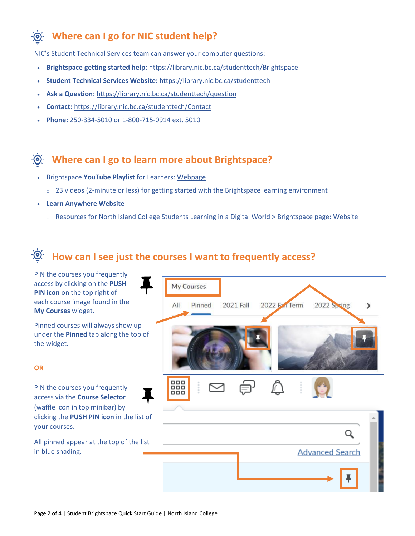#### **Where can I go for NIC student help?**

NIC's Student Technical Services team can answer your computer questions:

- **Brightspace getting started help**:<https://library.nic.bc.ca/studenttech/Brightspace>
- **Student Technical Services Website:** <https://library.nic.bc.ca/studenttech>
- **Ask a Question**:<https://library.nic.bc.ca/studenttech/question>
- **Contact:** <https://library.nic.bc.ca/studenttech/Contact>
- **Phone:** 250-334-5010 or 1-800-715-0914 ext. 5010

#### **Where can I go to learn more about Brightspace?**

- Brightspace **YouTube Playlist** for Learners: [Webpage](https://www.youtube.com/watch?v=ysM2cc2zIPM&list=PLxHabmZzFY6mtggGZAitZ61kmpS-pMIaM)
	- $\circ$  23 videos (2-minute or less) for getting started with the Brightspace learning environment
- **Learn Anywhere Website**
	- o Resources for North Island College Students Learning in a Digital World > Brightspace page: [Website](https://learnanywhere.opened.ca/digital-technologies/brightspace/)

#### **How can I see just the courses I want to frequently access?**

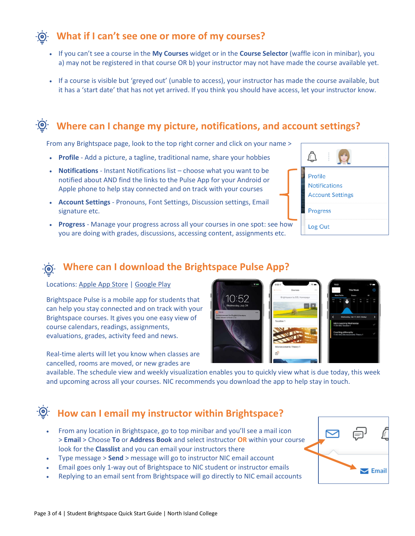#### **What if I can't see one or more of my courses?**

- If you can't see a course in the **My Courses** widget or in the **Course Selector** (waffle icon in minibar), you a) may not be registered in that course OR b) your instructor may not have made the course available yet.
- If a course is visible but 'greyed out' (unable to access), your instructor has made the course available, but it has a 'start date' that has not yet arrived. If you think you should have access, let your instructor know.

#### **Where can I change my picture, notifications, and account settings?**

From any Brightspace page, look to the top right corner and click on your name >

- **Profile** Add a picture, a tagline, traditional name, share your hobbies
- **Notifications** Instant Notifications list choose what you want to be notified about AND find the links to the Pulse App for your Android or Apple phone to help stay connected and on track with your courses
- **Account Settings** Pronouns, Font Settings, Discussion settings, Email signature etc.
- **Progress**  Manage your progress across all your courses in one spot: see how you are doing with grades, discussions, accessing content, assignments etc.



#### **Where can I download the Brightspace Pulse App?**

Locations: [Apple App Store](https://apps.apple.com/us/app/brightspace-pulse/id1001688546?ls=1) | [Google Play](https://play.google.com/store/apps/details?id=com.d2l.brightspace.student.android)

Brightspace Pulse is a mobile app for students that can help you stay connected and on track with your Brightspace courses. It gives you one easy view of course calendars, readings, assignments, evaluations, grades, activity feed and news.

Real-time alerts will let you know when classes are cancelled, rooms are moved, or new grades are

| 8.02                                                                                  | 6:08                                 | 11:51                  |                                     | $\sim$ $-$                                        |
|---------------------------------------------------------------------------------------|--------------------------------------|------------------------|-------------------------------------|---------------------------------------------------|
|                                                                                       | Courses<br>10.1<br><b>BROY PRINT</b> |                        | This Week                           | Œ                                                 |
|                                                                                       | Brightspace by D2L Homepage          | Work To Do             | Events                              | All                                               |
| 10:52<br>Wednesday, July 24                                                           |                                      | <b>MOV</b><br>18<br>15 | t<br>PM<br>$\mathbf{r}$<br>18<br>19 | <b>SUN</b><br><b>BAT</b><br>21<br>20 <sub>1</sub> |
| PULSE<br><b>TOW</b><br>Announcement for English Literature<br>Class Moved to Room 213 |                                      |                        | Wadnesday, Feb 17, 2021 (Today)     | $\overline{ }$                                    |
|                                                                                       | <b>Taxation 1</b>                    | 11:34 AM   Taxation 1  | Micro Learning Wednesday            | $\checkmark$                                      |
|                                                                                       | <b>RANGE RE</b>                      | Coaching philosophy    | 11:44 AM   Microeconomic Theory 1   | $\overline{\phantom{a}}$                          |
|                                                                                       | Microeconomic Theory 1               |                        |                                     |                                                   |
|                                                                                       | ार्ज                                 |                        |                                     |                                                   |
|                                                                                       |                                      |                        |                                     |                                                   |

available. The schedule view and weekly visualization enables you to quickly view what is due today, this week and upcoming across all your courses. NIC recommends you download the app to help stay in touch.

#### **How can I email my instructor within Brightspace?**

- From any location in Brightspace, go to top minibar and you'll see a mail icon > **Email** > Choose **To** or **Address Book** and select instructor **OR** within your course look for the **Classlist** and you can email your instructors there
- Type message > **Send** > message will go to instructor NIC email account
- Email goes only 1-way out of Brightspace to NIC student or instructor emails
- Replying to an email sent from Brightspace will go directly to NIC email accounts